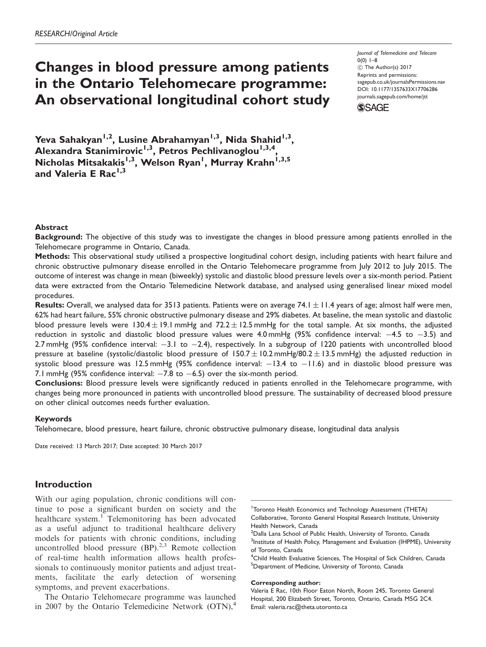# Changes in blood pressure among patients in the Ontario Telehomecare programme: An observational longitudinal cohort study

Journal of Telemedicine and Telecare  $0(0)$   $1-8$ ! The Author(s) 2017 Reprints and permissions: [sagepub.co.uk/journalsPermissions.nav](https://uk.sagepub.com/en-gb/journals-permissions) DOI: [10.1177/1357633X17706286](https://doi.org/10.1177/1357633X17706286) <journals.sagepub.com/home/jtt>



Yeva Sahakyan<sup>1,2</sup>, Lusine Abrahamyan<sup>1,3</sup>, Nida Shahid<sup>1,3</sup>, Alexandra Stanimirovic<sup>1,3</sup>, Petros Pechlivanoglou<sup>1,3,4</sup>, Nicholas Mitsakakis<sup>1,3</sup>, Welson Ryan<sup>1</sup>, Murray Krahn<sup>1,3,5</sup> and Valeria E Rac<sup>1,3</sup>

# Abstract

Background: The objective of this study was to investigate the changes in blood pressure among patients enrolled in the Telehomecare programme in Ontario, Canada.

Methods: This observational study utilised a prospective longitudinal cohort design, including patients with heart failure and chronic obstructive pulmonary disease enrolled in the Ontario Telehomecare programme from July 2012 to July 2015. The outcome of interest was change in mean (biweekly) systolic and diastolic blood pressure levels over a six-month period. Patient data were extracted from the Ontario Telemedicine Network database, and analysed using generalised linear mixed model procedures.

**Results:** Overall, we analysed data for 3513 patients. Patients were on average 74.1  $\pm$  11.4 years of age; almost half were men, 62% had heart failure, 55% chronic obstructive pulmonary disease and 29% diabetes. At baseline, the mean systolic and diastolic blood pressure levels were 130.4 $\pm$ 19.1 mmHg and 72.2 $\pm$ 12.5 mmHg for the total sample. At six months, the adjusted reduction in systolic and diastolic blood pressure values were 4.0 mmHg (95% confidence interval:  $-4.5$  to  $-3.5$ ) and 2.7 mmHg (95% confidence interval:  $-3.1$  to  $-2.4$ ), respectively. In a subgroup of 1220 patients with uncontrolled blood pressure at baseline (systolic/diastolic blood pressure of 150.7  $\pm$  10.2 mmHg/80.2  $\pm$  13.5 mmHg) the adjusted reduction in systolic blood pressure was 12.5 mmHg (95% confidence interval:  $-13.4$  to  $-11.6$ ) and in diastolic blood pressure was 7.1 mmHg (95% confidence interval:  $-7.8$  to  $-6.5$ ) over the six-month period.

Conclusions: Blood pressure levels were significantly reduced in patients enrolled in the Telehomecare programme, with changes being more pronounced in patients with uncontrolled blood pressure. The sustainability of decreased blood pressure on other clinical outcomes needs further evaluation.

## Keywords

Telehomecare, blood pressure, heart failure, chronic obstructive pulmonary disease, longitudinal data analysis

Date received: 13 March 2017; Date accepted: 30 March 2017

# Introduction

With our aging population, chronic conditions will continue to pose a significant burden on society and the healthcare system.<sup>1</sup> Telemonitoring has been advocated as a useful adjunct to traditional healthcare delivery models for patients with chronic conditions, including uncontrolled blood pressure  $(BP)$ .<sup>2,3</sup> Remote collection of real-time health information allows health professionals to continuously monitor patients and adjust treatments, facilitate the early detection of worsening symptoms, and prevent exacerbations.

The Ontario Telehomecare programme was launched in 2007 by the Ontario Telemedicine Network  $(OTN)$ ,<sup>4</sup>

1 Toronto Health Economics and Technology Assessment (THETA) Collaborative, Toronto General Hospital Research Institute, University Health Network, Canada

<sup>2</sup>Dalla Lana School of Public Health, University of Toronto, Canada <sup>3</sup>Institute of Health Policy, Management and Evaluation (IHPME), University of Toronto, Canada

<sup>4</sup>Child Health Evaluative Sciences, The Hospital of Sick Children, Canada <sup>5</sup>Department of Medicine, University of Toronto, Canada

#### Corresponding author:

Valeria E Rac, 10th Floor Eaton North, Room 245, Toronto General Hospital, 200 Elizabeth Street, Toronto, Ontario, Canada M5G 2C4. Email: valeria.rac@theta.utoronto.ca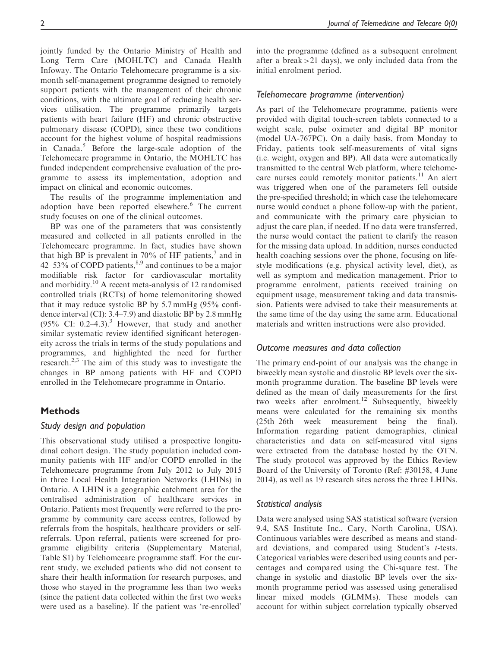jointly funded by the Ontario Ministry of Health and Long Term Care (MOHLTC) and Canada Health Infoway. The Ontario Telehomecare programme is a sixmonth self-management programme designed to remotely support patients with the management of their chronic conditions, with the ultimate goal of reducing health services utilisation. The programme primarily targets patients with heart failure (HF) and chronic obstructive pulmonary disease (COPD), since these two conditions account for the highest volume of hospital readmissions in Canada.<sup>5</sup> Before the large-scale adoption of the Telehomecare programme in Ontario, the MOHLTC has

impact on clinical and economic outcomes. The results of the programme implementation and adoption have been reported elsewhere.<sup>6</sup> The current study focuses on one of the clinical outcomes.

funded independent comprehensive evaluation of the programme to assess its implementation, adoption and

BP was one of the parameters that was consistently measured and collected in all patients enrolled in the Telehomecare programme. In fact, studies have shown that high BP is prevalent in 70% of HF patients, $\frac{7}{1}$  and in  $42-53\%$  of COPD patients,  $8.9$  and continues to be a major modifiable risk factor for cardiovascular mortality and morbidity.<sup>10</sup> A recent meta-analysis of 12 randomised controlled trials (RCTs) of home telemonitoring showed that it may reduce systolic BP by  $5.7 \text{ mmHg}$  (95% confidence interval (CI): 3.4–7.9) and diastolic BP by 2.8 mmHg  $(95\% \text{ CI: } 0.2-4.3).$ <sup>3</sup> However, that study and another similar systematic review identified significant heterogeneity across the trials in terms of the study populations and programmes, and highlighted the need for further research.<sup>2,3</sup> The aim of this study was to investigate the changes in BP among patients with HF and COPD enrolled in the Telehomecare programme in Ontario.

## Methods

#### Study design and population

This observational study utilised a prospective longitudinal cohort design. The study population included community patients with HF and/or COPD enrolled in the Telehomecare programme from July 2012 to July 2015 in three Local Health Integration Networks (LHINs) in Ontario. A LHIN is a geographic catchment area for the centralised administration of healthcare services in Ontario. Patients most frequently were referred to the programme by community care access centres, followed by referrals from the hospitals, healthcare providers or selfreferrals. Upon referral, patients were screened for programme eligibility criteria (Supplementary Material, Table S1) by Telehomecare programme staff. For the current study, we excluded patients who did not consent to share their health information for research purposes, and those who stayed in the programme less than two weeks (since the patient data collected within the first two weeks were used as a baseline). If the patient was 're-enrolled'

into the programme (defined as a subsequent enrolment after a break >21 days), we only included data from the initial enrolment period.

# Telehomecare programme (intervention)

As part of the Telehomecare programme, patients were provided with digital touch-screen tablets connected to a weight scale, pulse oximeter and digital BP monitor (model UA-767PC). On a daily basis, from Monday to Friday, patients took self-measurements of vital signs (i.e. weight, oxygen and BP). All data were automatically transmitted to the central Web platform, where telehomecare nurses could remotely monitor patients.<sup>11</sup> An alert was triggered when one of the parameters fell outside the pre-specified threshold; in which case the telehomecare nurse would conduct a phone follow-up with the patient, and communicate with the primary care physician to adjust the care plan, if needed. If no data were transferred, the nurse would contact the patient to clarify the reason for the missing data upload. In addition, nurses conducted health coaching sessions over the phone, focusing on lifestyle modifications (e.g. physical activity level, diet), as well as symptom and medication management. Prior to programme enrolment, patients received training on equipment usage, measurement taking and data transmission. Patients were advised to take their measurements at the same time of the day using the same arm. Educational materials and written instructions were also provided.

# Outcome measures and data collection

The primary end-point of our analysis was the change in biweekly mean systolic and diastolic BP levels over the sixmonth programme duration. The baseline BP levels were defined as the mean of daily measurements for the first two weeks after enrolment. $12$  Subsequently, biweekly means were calculated for the remaining six months (25th–26th week measurement being the final). Information regarding patient demographics, clinical characteristics and data on self-measured vital signs were extracted from the database hosted by the OTN. The study protocol was approved by the Ethics Review Board of the University of Toronto (Ref: #30158, 4 June 2014), as well as 19 research sites across the three LHINs.

#### Statistical analysis

Data were analysed using SAS statistical software (version 9.4, SAS Institute Inc., Cary, North Carolina, USA). Continuous variables were described as means and standard deviations, and compared using Student's t-tests. Categorical variables were described using counts and percentages and compared using the Chi-square test. The change in systolic and diastolic BP levels over the sixmonth programme period was assessed using generalised linear mixed models (GLMMs). These models can account for within subject correlation typically observed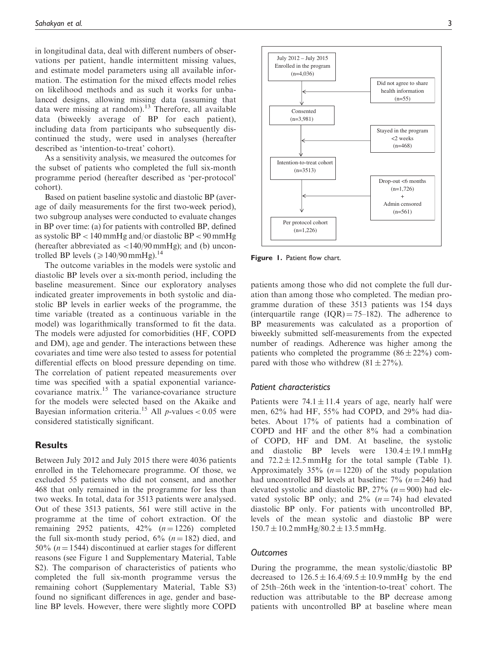in longitudinal data, deal with different numbers of observations per patient, handle intermittent missing values, and estimate model parameters using all available information. The estimation for the mixed effects model relies on likelihood methods and as such it works for unbalanced designs, allowing missing data (assuming that data were missing at random).<sup>13</sup> Therefore, all available data (biweekly average of BP for each patient), including data from participants who subsequently discontinued the study, were used in analyses (hereafter described as 'intention-to-treat' cohort).

As a sensitivity analysis, we measured the outcomes for the subset of patients who completed the full six-month programme period (hereafter described as 'per-protocol' cohort).

Based on patient baseline systolic and diastolic BP (average of daily measurements for the first two-week period), two subgroup analyses were conducted to evaluate changes in BP over time: (a) for patients with controlled BP, defined as systolic BP < 140 mmHg and/or diastolic BP< 90 mmHg (hereafter abbreviated as <140/90 mmHg); and (b) uncontrolled BP levels ( $\geq 140/90$  mmHg).<sup>14</sup>

The outcome variables in the models were systolic and diastolic BP levels over a six-month period, including the baseline measurement. Since our exploratory analyses indicated greater improvements in both systolic and diastolic BP levels in earlier weeks of the programme, the time variable (treated as a continuous variable in the model) was logarithmically transformed to fit the data. The models were adjusted for comorbidities (HF, COPD and DM), age and gender. The interactions between these covariates and time were also tested to assess for potential differential effects on blood pressure depending on time. The correlation of patient repeated measurements over time was specified with a spatial exponential variancecovariance matrix.<sup>15</sup> The variance-covariance structure for the models were selected based on the Akaike and Bayesian information criteria.<sup>15</sup> All *p*-values < 0.05 were considered statistically significant.

# **Results**

Between July 2012 and July 2015 there were 4036 patients enrolled in the Telehomecare programme. Of those, we excluded 55 patients who did not consent, and another 468 that only remained in the programme for less than two weeks. In total, data for 3513 patients were analysed. Out of these 3513 patients, 561 were still active in the programme at the time of cohort extraction. Of the remaining 2952 patients,  $42\%$   $(n = 1226)$  completed the full six-month study period,  $6\%$  ( $n = 182$ ) died, and 50% ( $n = 1544$ ) discontinued at earlier stages for different reasons (see Figure 1 and Supplementary Material, Table S2). The comparison of characteristics of patients who completed the full six-month programme versus the remaining cohort (Supplementary Material, Table S3) found no significant differences in age, gender and baseline BP levels. However, there were slightly more COPD



Figure 1. Patient flow chart.

patients among those who did not complete the full duration than among those who completed. The median programme duration of these 3513 patients was 154 days (interquartile range  $(IQR) = 75-182$ ). The adherence to BP measurements was calculated as a proportion of biweekly submitted self-measurements from the expected number of readings. Adherence was higher among the patients who completed the programme  $(86 \pm 22\%)$  compared with those who withdrew  $(81 \pm 27\%)$ .

## Patient characteristics

Patients were  $74.1 \pm 11.4$  years of age, nearly half were men, 62% had HF, 55% had COPD, and 29% had diabetes. About 17% of patients had a combination of COPD and HF and the other 8% had a combination of COPD, HF and DM. At baseline, the systolic and diastolic BP levels were  $130.4 \pm 19.1 \text{ mmHg}$ and  $72.2 \pm 12.5$  mmHg for the total sample (Table 1). Approximately 35%  $(n = 1220)$  of the study population had uncontrolled BP levels at baseline:  $7\%$  ( $n = 246$ ) had elevated systolic and diastolic BP,  $27\%$  ( $n = 900$ ) had elevated systolic BP only; and  $2\%$  ( $n = 74$ ) had elevated diastolic BP only. For patients with uncontrolled BP, levels of the mean systolic and diastolic BP were  $150.7 \pm 10.2$  mmHg/80.2  $\pm$  13.5 mmHg.

## **Outcomes**

During the programme, the mean systolic/diastolic BP decreased to  $126.5 \pm 16.4/69.5 \pm 10.9$  mmHg by the end of 25th–26th week in the 'intention-to-treat' cohort. The reduction was attributable to the BP decrease among patients with uncontrolled BP at baseline where mean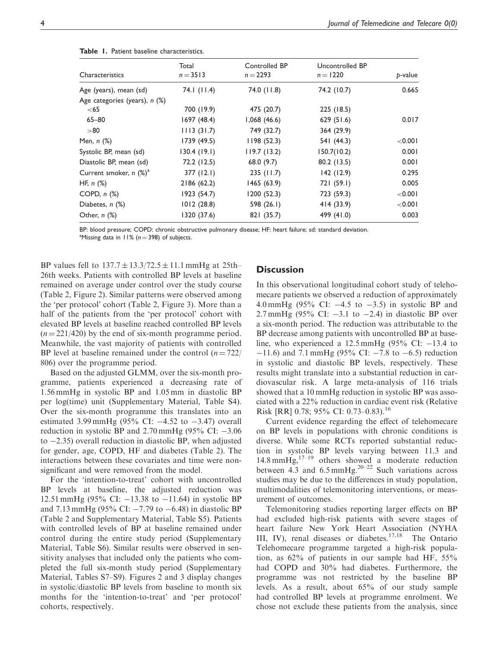| Characteristics                    | Total<br>$n = 3513$ | Controlled BP<br>$n = 2293$ | Uncontrolled BP<br>$n = 1220$ | $p$ -value |
|------------------------------------|---------------------|-----------------------------|-------------------------------|------------|
| Age (years), mean (sd)             | 74.1 (11.4)         | 74.0 (11.8)                 | 74.2 (10.7)                   | 0.665      |
| Age categories (years), n (%)      |                     |                             |                               |            |
| $<$ 65                             | 700 (19.9)          | 475 (20.7)                  | 225(18.5)                     |            |
| $65 - 80$                          | 1697(48.4)          | 1,068(46.6)                 | 629(51.6)                     | 0.017      |
| > 80                               | 1113(31.7)          | 749 (32.7)                  | 364 (29.9)                    |            |
| Men, <i>n</i> (%)                  | 1739 (49.5)         | 1198(52.3)                  | 541 (44.3)                    | < 0.001    |
| Systolic BP, mean (sd)             | 130.4(19.1)         | 119.7(13.2)                 | 150.7(10.2)                   | 0.001      |
| Diastolic BP, mean (sd)            | 72.2 (12.5)         | 68.0(9.7)                   | 80.2 (13.5)                   | 0.001      |
| Current smoker, n (%) <sup>a</sup> | 377(12.1)           | 235(11.7)                   | 142(12.9)                     | 0.295      |
| HF, n (%)                          | 2186 (62.2)         | 1465(63.9)                  | 721 (59.1)                    | 0.005      |
| COPD, n (%)                        | 1923(54.7)          | 1200 (52.3)                 | 723 (59.3)                    | < 0.001    |
| Diabetes, n (%)                    | 1012(28.8)          | 598 (26.1)                  | 414 (33.9)                    | < 0.001    |
| Other, n (%)                       | 1320 (37.6)         | 821 (35.7)                  | 499 (41.0)                    | 0.003      |

Table 1. Patient baseline characteristics.

BP: blood pressure; COPD: chronic obstructive pulmonary disease; HF: heart failure; sd: standard deviation. <sup>a</sup>Missing data in 11% ( $n = 398$ ) of subjects.

BP values fell to  $137.7 \pm 13.3/72.5 \pm 11.1$  mmHg at 25th– 26th weeks. Patients with controlled BP levels at baseline remained on average under control over the study course (Table 2, Figure 2). Similar patterns were observed among the 'per protocol' cohort (Table 2, Figure 3). More than a half of the patients from the 'per protocol' cohort with elevated BP levels at baseline reached controlled BP levels  $(n = 221/420)$  by the end of six-month programme period. Meanwhile, the vast majority of patients with controlled BP level at baseline remained under the control  $(n = 722)$ 806) over the programme period.

Based on the adjusted GLMM, over the six-month programme, patients experienced a decreasing rate of 1.56 mmHg in systolic BP and 1.05 mm in diastolic BP per log(time) unit (Supplementary Material, Table S4). Over the six-month programme this translates into an estimated 3.99 mmHg (95% CI:  $-4.52$  to  $-3.47$ ) overall reduction in systolic BP and  $2.70 \text{ mmHg}$  (95% CI:  $-3.06$ ) to  $-2.35$ ) overall reduction in diastolic BP, when adjusted for gender, age, COPD, HF and diabetes (Table 2). The interactions between these covariates and time were nonsignificant and were removed from the model.

For the 'intention-to-treat' cohort with uncontrolled BP levels at baseline, the adjusted reduction was 12.51 mmHg (95% CI:  $-13.38$  to  $-11.64$ ) in systolic BP and 7.13 mmHg (95% CI:  $-7.79$  to  $-6.48$ ) in diastolic BP (Table 2 and Supplementary Material, Table S5). Patients with controlled levels of BP at baseline remained under control during the entire study period (Supplementary Material, Table S6). Similar results were observed in sensitivity analyses that included only the patients who completed the full six-month study period (Supplementary Material, Tables S7–S9). Figures 2 and 3 display changes in systolic/diastolic BP levels from baseline to month six months for the 'intention-to-treat' and 'per protocol' cohorts, respectively.

# **Discussion**

In this observational longitudinal cohort study of telehomecare patients we observed a reduction of approximately 4.0 mmHg (95% CI:  $-4.5$  to  $-3.5$ ) in systolic BP and 2.7 mmHg (95% CI:  $-3.1$  to  $-2.4$ ) in diastolic BP over a six-month period. The reduction was attributable to the BP decrease among patients with uncontrolled BP at baseline, who experienced a  $12.5 \text{ mmHg}$  (95% CI:  $-13.4$  to  $-11.6$ ) and 7.1 mmHg (95% CI:  $-7.8$  to  $-6.5$ ) reduction in systolic and diastolic BP levels, respectively. These results might translate into a substantial reduction in cardiovascular risk. A large meta-analysis of 116 trials showed that a 10 mmHg reduction in systolic BP was associated with a 22% reduction in cardiac event risk (Relative Risk [RR] 0.78; 95% CI: 0.73–0.83).<sup>16</sup>

Current evidence regarding the effect of telehomecare on BP levels in populations with chronic conditions is diverse. While some RCTs reported substantial reduction in systolic BP levels varying between 11.3 and  $14.8 \text{ mmHg}$ ,  $^{17-19}$  others showed a moderate reduction between 4.3 and 6.5 mmHg.<sup>20–22</sup> Such variations across</sup> studies may be due to the differences in study population, multimodalities of telemonitoring interventions, or measurement of outcomes.

Telemonitoring studies reporting larger effects on BP had excluded high-risk patients with severe stages of heart failure New York Heart Association (NYHA III, IV), renal diseases or diabetes.<sup>17,18</sup> The Ontario Telehomecare programme targeted a high-risk population, as 62% of patients in our sample had HF, 55% had COPD and 30% had diabetes. Furthermore, the programme was not restricted by the baseline BP levels. As a result, about 65% of our study sample had controlled BP levels at programme enrolment. We chose not exclude these patients from the analysis, since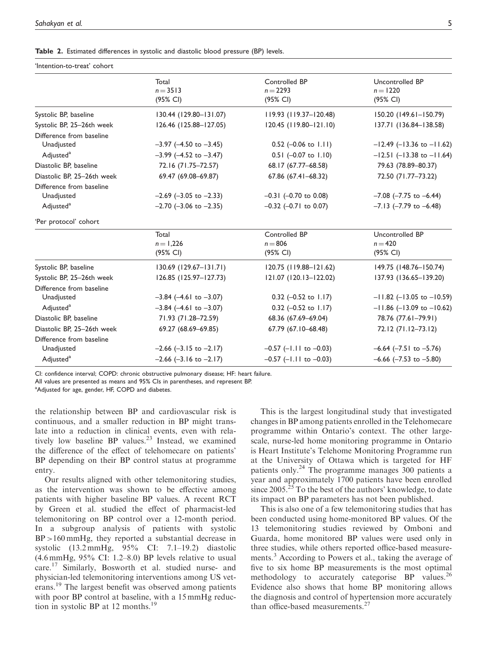#### Table 2. Estimated differences in systolic and diastolic blood pressure (BP) levels.

| 'Intention-to-treat' cohort |                                  |                                         |                                           |
|-----------------------------|----------------------------------|-----------------------------------------|-------------------------------------------|
|                             | Total<br>$n = 3513$<br>(95% CI)  | Controlled BP<br>$n = 2293$<br>(95% CI) | Uncontrolled BP<br>$n = 1220$<br>(95% CI) |
| Systolic BP, baseline       | 130.44 (129.80-131.07)           | $119.93$ (119.37-120.48)                | 150.20 (149.61-150.79)                    |
| Systolic BP, 25-26th week   | 126.46 (125.88-127.05)           | 120.45 (119.80-121.10)                  | 137.71 (136.84-138.58)                    |
| Difference from baseline    |                                  |                                         |                                           |
| Unadjusted                  | $-3.97$ ( $-4.50$ to $-3.45$ )   | $0.52$ (-0.06 to 1.11)                  | $-12.49$ (-13.36 to -11.62)               |
| Adjusted <sup>a</sup>       | $-3.99$ ( $-4.52$ to $-3.47$ )   | $0.51$ (-0.07 to 1.10)                  | $-12.51$ (-13.38 to -11.64)               |
| Diastolic BP, baseline      | 72.16 (71.75-72.57)              | 68.17 (67.77-68.58)                     | 79.63 (78.89-80.37)                       |
| Diastolic BP, 25-26th week  | 69.47 (69.08-69.87)              | 67.86 (67.41-68.32)                     | 72.50 (71.77-73.22)                       |
| Difference from baseline    |                                  |                                         |                                           |
| Unadjusted                  | $-2.69$ ( $-3.05$ to $-2.33$ )   | $-0.31$ (-0.70 to 0.08)                 | $-7.08$ ( $-7.75$ to $-6.44$ )            |
| Adjusted <sup>a</sup>       | $-2.70$ ( $-3.06$ to $-2.35$ )   | $-0.32$ (-0.71 to 0.07)                 | $-7.13$ $(-7.79$ to $-6.48$ )             |
| 'Per protocol' cohort       |                                  |                                         |                                           |
|                             | Total<br>$n = 1,226$<br>(95% CI) | Controlled BP<br>$n = 806$<br>(95% CI)  | Uncontrolled BP<br>$n = 420$<br>(95% CI)  |
| Systolic BP, baseline       | 130.69 (129.67-131.71)           | 120.75 (119.88-121.62)                  | 149.75 (148.76-150.74)                    |
| Systolic BP, 25-26th week   | 126.85 (125.97-127.73)           | 121.07 (120.13-122.02)                  | 137.93 (136.65-139.20)                    |
| Difference from baseline    |                                  |                                         |                                           |
| Unadjusted                  | $-3.84$ (-4.61 to $-3.07$ )      | $0.32$ (-0.52 to 1.17)                  | $-11.82$ (-13.05 to $-10.59$ )            |
| Adjusted <sup>a</sup>       | $-3.84$ (-4.61 to $-3.07$ )      | $0.32$ (-0.52 to 1.17)                  | $-11.86$ (-13.09 to $-10.62$ )            |
| Diastolic BP, baseline      | 71.93 (71.28-72.59)              | 68.36 (67.69-69.04)                     | 78.76 (77.61-79.91)                       |
| Diastolic BP, 25-26th week  | 69.27 (68.69-69.85)              | 67.79 (67.10 - 68.48)                   | 72.12 (71.12-73.12)                       |
| Difference from baseline    |                                  |                                         |                                           |
| Unadjusted                  | $-2.66$ $(-3.15$ to $-2.17)$     | $-0.57$ (-1.11 to $-0.03$ )             | $-6.64$ ( $-7.51$ to $-5.76$ )            |
| Adjusted <sup>a</sup>       | $-2.66$ $(-3.16$ to $-2.17)$     | $-0.57$ (-1.11 to $-0.03$ )             | $-6.66$ ( $-7.53$ to $-5.80$ )            |

CI: confidence interval; COPD: chronic obstructive pulmonary disease; HF: heart failure.

All values are presented as means and 95% CIs in parentheses, and represent BP.

<sup>a</sup>Adjusted for age, gender, HF, COPD and diabetes.

the relationship between BP and cardiovascular risk is continuous, and a smaller reduction in BP might translate into a reduction in clinical events, even with relatively low baseline BP values.<sup>23</sup> Instead, we examined the difference of the effect of telehomecare on patients' BP depending on their BP control status at programme entry.

Our results aligned with other telemonitoring studies, as the intervention was shown to be effective among patients with higher baseline BP values. A recent RCT by Green et al. studied the effect of pharmacist-led telemonitoring on BP control over a 12-month period. In a subgroup analysis of patients with systolic  $BP > 160$  mmHg, they reported a substantial decrease in systolic (13.2 mmHg, 95% CI: 7.1–19.2) diastolic  $(4.6 \text{ mmHg}, 95\% \text{ CI: } 1.2-8.0)$  BP levels relative to usual care.<sup>17</sup> Similarly, Bosworth et al. studied nurse- and physician-led telemonitoring interventions among US veterans.19 The largest benefit was observed among patients with poor BP control at baseline, with a 15 mmHg reduction in systolic BP at 12 months.<sup>19</sup>

This is the largest longitudinal study that investigated changes in BP among patients enrolled in the Telehomecare programme within Ontario's context. The other largescale, nurse-led home monitoring programme in Ontario is Heart Institute's Telehome Monitoring Programme run at the University of Ottawa which is targeted for HF patients only.<sup>24</sup> The programme manages 300 patients a year and approximately 1700 patients have been enrolled since  $2005.<sup>25</sup>$  To the best of the authors' knowledge, to date its impact on BP parameters has not been published.

This is also one of a few telemonitoring studies that has been conducted using home-monitored BP values. Of the 13 telemonitoring studies reviewed by Omboni and Guarda, home monitored BP values were used only in three studies, while others reported office-based measurements.<sup>3</sup> According to Powers et al., taking the average of five to six home BP measurements is the most optimal methodology to accurately categorise BP values.<sup>26</sup> Evidence also shows that home BP monitoring allows the diagnosis and control of hypertension more accurately than office-based measurements.<sup>27</sup>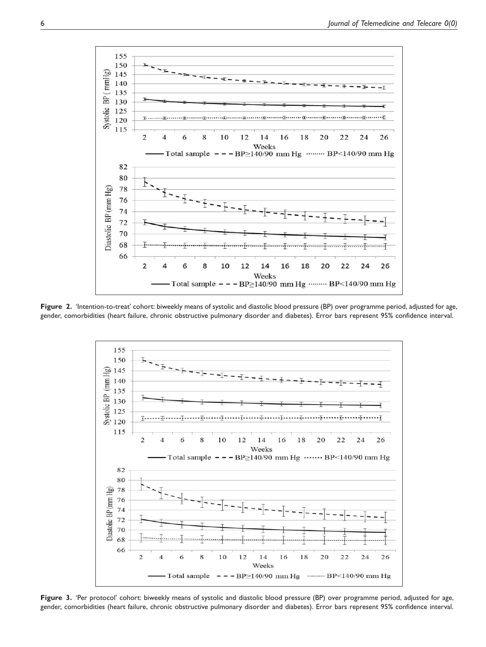

Figure 2. 'Intention-to-treat' cohort: biweekly means of systolic and diastolic blood pressure (BP) over programme period, adjusted for age, gender, comorbidities (heart failure, chronic obstructive pulmonary disorder and diabetes). Error bars represent 95% confidence interval.



Figure 3. 'Per protocol' cohort: biweekly means of systolic and diastolic blood pressure (BP) over programme period, adjusted for age, gender, comorbidities (heart failure, chronic obstructive pulmonary disorder and diabetes). Error bars represent 95% confidence interval.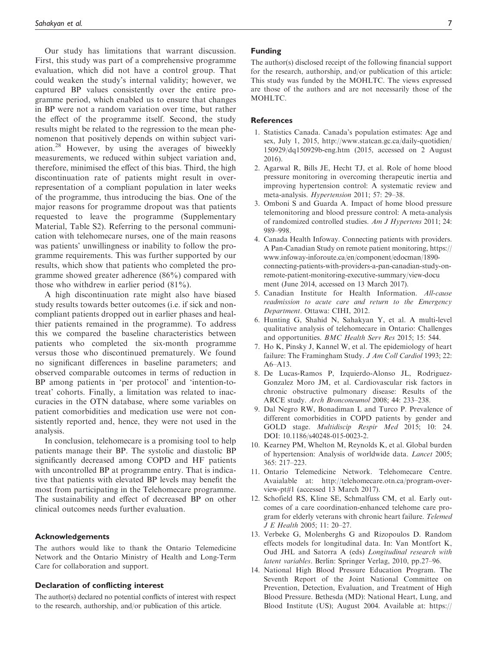Our study has limitations that warrant discussion. First, this study was part of a comprehensive programme evaluation, which did not have a control group. That could weaken the study's internal validity; however, we captured BP values consistently over the entire programme period, which enabled us to ensure that changes in BP were not a random variation over time, but rather the effect of the programme itself. Second, the study results might be related to the regression to the mean phenomenon that positively depends on within subject variation.28 However, by using the averages of biweekly measurements, we reduced within subject variation and, therefore, minimised the effect of this bias. Third, the high discontinuation rate of patients might result in overrepresentation of a compliant population in later weeks of the programme, thus introducing the bias. One of the major reasons for programme dropout was that patients requested to leave the programme (Supplementary Material, Table S2). Referring to the personal communication with telehomecare nurses, one of the main reasons was patients' unwillingness or inability to follow the programme requirements. This was further supported by our results, which show that patients who completed the programme showed greater adherence (86%) compared with those who withdrew in earlier period (81%).

A high discontinuation rate might also have biased study results towards better outcomes (i.e. if sick and noncompliant patients dropped out in earlier phases and healthier patients remained in the programme). To address this we compared the baseline characteristics between patients who completed the six-month programme versus those who discontinued prematurely. We found no significant differences in baseline parameters; and observed comparable outcomes in terms of reduction in BP among patients in 'per protocol' and 'intention-totreat' cohorts. Finally, a limitation was related to inaccuracies in the OTN database, where some variables on patient comorbidities and medication use were not consistently reported and, hence, they were not used in the analysis.

In conclusion, telehomecare is a promising tool to help patients manage their BP. The systolic and diastolic BP significantly decreased among COPD and HF patients with uncontrolled BP at programme entry. That is indicative that patients with elevated BP levels may benefit the most from participating in the Telehomecare programme. The sustainability and effect of decreased BP on other clinical outcomes needs further evaluation.

## Acknowledgements

The authors would like to thank the Ontario Telemedicine Network and the Ontario Ministry of Health and Long-Term Care for collaboration and support.

#### Declaration of conflicting interest

The author(s) declared no potential conflicts of interest with respect to the research, authorship, and/or publication of this article.

### Funding

The author(s) disclosed receipt of the following financial support for the research, authorship, and/or publication of this article: This study was funded by the MOHLTC. The views expressed are those of the authors and are not necessarily those of the MOHLTC.

#### References

- 1. Statistics Canada. Canada's population estimates: Age and sex, July 1, 2015, [http://www.statcan.gc.ca/daily-quotidien/](http://www.statcan.gc.ca/daily-quotidien/150929/dq150929b-eng.htm) [150929/dq150929b-eng.htm](http://www.statcan.gc.ca/daily-quotidien/150929/dq150929b-eng.htm) (2015, accessed on 2 August 2016).
- 2. Agarwal R, Bills JE, Hecht TJ, et al. Role of home blood pressure monitoring in overcoming therapeutic inertia and improving hypertension control: A systematic review and meta-analysis. Hypertension 2011; 57: 29–38.
- 3. Omboni S and Guarda A. Impact of home blood pressure telemonitoring and blood pressure control: A meta-analysis of randomized controlled studies. Am J Hypertens 2011; 24: 989–998.
- 4. Canada Health Infoway. Connecting patients with providers. A Pan-Canadian Study on remote patient monitoring, [https://](https://www.infoway-inforoute.ca/en/component/edocman/1890-connecting-patients-with-providers-a-pan-canadian-study-on-remote-patient-monitoring-executive-summary/view-document) [www.infoway-inforoute.ca/en/component/edocman/1890](https://www.infoway-inforoute.ca/en/component/edocman/1890-connecting-patients-with-providers-a-pan-canadian-study-on-remote-patient-monitoring-executive-summary/view-document) [connecting-patients-with-providers-a-pan-canadian-study-on](https://www.infoway-inforoute.ca/en/component/edocman/1890-connecting-patients-with-providers-a-pan-canadian-study-on-remote-patient-monitoring-executive-summary/view-document)[remote-patient-monitoring-executive-summary/view-docu](https://www.infoway-inforoute.ca/en/component/edocman/1890-connecting-patients-with-providers-a-pan-canadian-study-on-remote-patient-monitoring-executive-summary/view-document) [ment](https://www.infoway-inforoute.ca/en/component/edocman/1890-connecting-patients-with-providers-a-pan-canadian-study-on-remote-patient-monitoring-executive-summary/view-document) (June 2014, accessed on 13 March 2017).
- 5. Canadian Institute for Health Information. All-cause readmission to acute care and return to the Emergency Department. Ottawa: CIHI, 2012.
- 6. Hunting G, Shahid N, Sahakyan Y, et al. A multi-level qualitative analysis of telehomecare in Ontario: Challenges and opportunities. BMC Health Serv Res 2015; 15: 544.
- 7. Ho K, Pinsky J, Kannel W, et al. The epidemiology of heart failure: The Framingham Study. J Am Coll Cardiol 1993; 22: A6–A13.
- 8. De Lucas-Ramos P, Izquierdo-Alonso JL, Rodriguez-Gonzalez Moro JM, et al. Cardiovascular risk factors in chronic obstructive pulmonary disease: Results of the ARCE study. Arch Bronconeumol 2008; 44: 233–238.
- 9. Dal Negro RW, Bonadiman L and Turco P. Prevalence of different comorbidities in COPD patients by gender and GOLD stage. Multidiscip Respir Med 2015; 10: 24. DOI: 10.1186/s40248-015-0023-2.
- 10. Kearney PM, Whelton M, Reynolds K, et al. Global burden of hypertension: Analysis of worldwide data. Lancet 2005; 365: 217–223.
- 11. Ontario Telemedicine Network. Telehomecare Centre. Avaialable at: [http://telehomecare.otn.ca/program-over](http://telehomecare.otn.ca/program-overview-pt#1)[view-pt#1](http://telehomecare.otn.ca/program-overview-pt#1) (accessed 13 March 2017).
- 12. Schofield RS, Kline SE, Schmalfuss CM, et al. Early outcomes of a care coordination-enhanced telehome care program for elderly veterans with chronic heart failure. Telemed J E Health 2005; 11: 20–27.
- 13. Verbeke G, Molenberghs G and Rizopoulos D. Random effects models for longitudinal data. In: Van Montfort K, Oud JHL and Satorra A (eds) Longitudinal research with latent variables. Berlin: Springer Verlag, 2010, pp.27–96.
- 14. National High Blood Pressure Education Program. The Seventh Report of the Joint National Committee on Prevention, Detection, Evaluation, and Treatment of High Blood Pressure. Bethesda (MD): National Heart, Lung, and Blood Institute (US); August 2004. Available at: [https://](https://www.ncbi.nlm.nih.gov/books/NBK9630/)